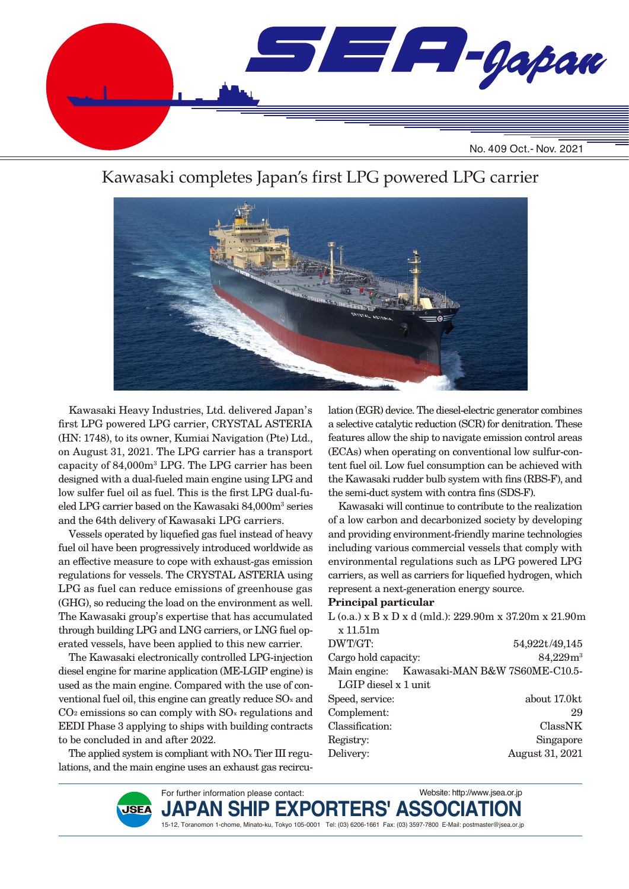

## Kawasaki completes Japan's first LPG powered LPG carrier



Kawasaki Heavy Industries, Ltd. delivered Japan's first LPG powered LPG carrier, CRYSTAL ASTERIA (HN: 1748), to its owner, Kumiai Navigation (Pte) Ltd., on August 31, 2021. The LPG carrier has a transport capacity of 84,000m3 LPG. The LPG carrier has been designed with a dual-fueled main engine using LPG and low sulfer fuel oil as fuel. This is the first LPG dual-fueled LPG carrier based on the Kawasaki 84,000m3 series and the 64th delivery of Kawasaki LPG carriers.

Vessels operated by liquefied gas fuel instead of heavy fuel oil have been progressively introduced worldwide as an effective measure to cope with exhaust-gas emission regulations for vessels. The CRYSTAL ASTERIA using LPG as fuel can reduce emissions of greenhouse gas (GHG), so reducing the load on the environment as well. The Kawasaki group's expertise that has accumulated through building LPG and LNG carriers, or LNG fuel operated vessels, have been applied to this new carrier.

The Kawasaki electronically controlled LPG-injection diesel engine for marine application (ME-LGIP engine) is used as the main engine. Compared with the use of conventional fuel oil, this engine can greatly reduce SOx and  $CO<sub>2</sub>$  emissions so can comply with  $SO<sub>x</sub>$  regulations and EEDI Phase 3 applying to ships with building contracts to be concluded in and after 2022.

The applied system is compliant with NO<sub>x</sub> Tier III regulations, and the main engine uses an exhaust gas recircu-

**JSEA** 

lation (EGR) device. The diesel-electric generator combines a selective catalytic reduction (SCR) for denitration. These features allow the ship to navigate emission control areas (ECAs) when operating on conventional low sulfur-content fuel oil. Low fuel consumption can be achieved with the Kawasaki rudder bulb system with fins (RBS-F), and the semi-duct system with contra fins (SDS-F).

Kawasaki will continue to contribute to the realization of a low carbon and decarbonized society by developing and providing environment-friendly marine technologies including various commercial vessels that comply with environmental regulations such as LPG powered LPG carriers, as well as carriers for liquefied hydrogen, which represent a next-generation energy source.

#### **Principal particular**

| $L$ (o.a.) x B x D x d (mld.): 229.90m x 37.20m x 21.90m |
|----------------------------------------------------------|
|                                                          |
| 54,922t/49,145                                           |
| 84,229m <sup>3</sup>                                     |
| Main engine: Kawasaki-MAN B&W 7S60ME-C10.5-              |
|                                                          |
| about 17.0kt                                             |
| 29                                                       |
| ClassNK                                                  |
| Singapore                                                |
| August 31, 2021                                          |
|                                                          |

Website: http://www.jsea.or.jp

For further information please contact:

 $JAPAN$  SHIP EXPORTERS' ASS 15-12, Toranomon 1-chome, Minato-ku, Tokyo 105-0001 Tel: (03) 6206-1661 Fax: (03) 3597-7800 E-Mail: postmaster@jsea.or.jp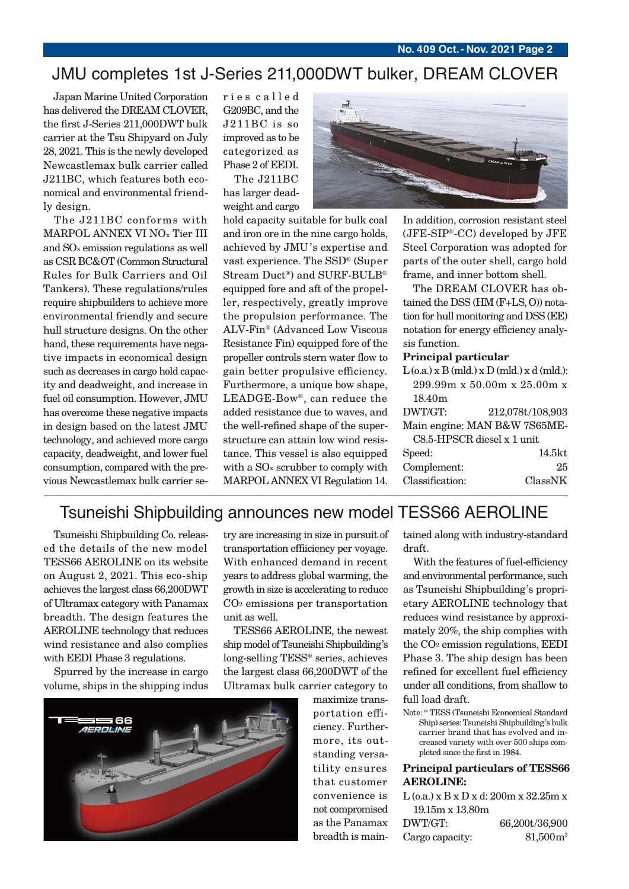# JMU completes 1st J-Series 211,000DWT bulker, DREAM CLOVER

Japan Marine United Corporation has delivered the DREAM CLOVER, the first J-Series 211,000DWT bulk carrier at the Tsu Shipyard on July 28, 2021. This is the newly developed Newcastlemax bulk carrier called J211BC, which features both economical and environmental friendly design.

The J211BC conforms with MARPOL ANNEX VI NOx Tier III and SOx emission regulations as well as CSR BC&OT (Common Structural Rules for Bulk Carriers and Oil Tankers). These regulations/rules require shipbuilders to achieve more environmental friendly and secure hull structure designs. On the other hand, these requirements have negative impacts in economical design such as decreases in cargo hold capacity and deadweight, and increase in fuel oil consumption. However, JMU has overcome these negative impacts in design based on the latest JMU technology, and achieved more cargo capacity, deadweight, and lower fuel consumption, compared with the previous Newcastlemax bulk carrier ser i e s c a l l e d G209BC, and the J211BC is so improved as to be categorized as Phase 2 of EEDI.

The J211BC has larger deadweight and cargo

hold capacity suitable for bulk coal and iron ore in the nine cargo holds, achieved by JMU's expertise and vast experience. The SSD® (Super Stream Duct®) and SURF-BULB® equipped fore and aft of the propeller, respectively, greatly improve the propulsion performance. The ALV-Fin® (Advanced Low Viscous Resistance Fin) equipped fore of the propeller controls stern water flow to gain better propulsive efficiency. Furthermore, a unique bow shape, LEADGE-Bow®, can reduce the added resistance due to waves, and the well-refined shape of the superstructure can attain low wind resistance. This vessel is also equipped with a SO<sub>x</sub> scrubber to comply with MARPOL ANNEX VI Regulation 14.



In addition, corrosion resistant steel (JFE-SIP®-CC) developed by JFE Steel Corporation was adopted for parts of the outer shell, cargo hold frame, and inner bottom shell.

The DREAM CLOVER has obtained the DSS (HM (F+LS, O)) notation for hull monitoring and DSS (EE) notation for energy efficiency analysis function.

#### **Principal particular**

|                            | $L$ (o.a.) x $B$ (mld.) x $D$ (mld.) x d(mld.): |
|----------------------------|-------------------------------------------------|
|                            | 299.99m x 50.00m x 25.00m x                     |
| 18.40 <sub>m</sub>         |                                                 |
| DWT/GT:                    | 212,078t/108,903                                |
|                            | Main engine: MAN B&W 7S65ME-                    |
| C8.5-HPSCR diesel x 1 unit |                                                 |
| Speed:                     | 14.5kt                                          |
| Complement:                | 25                                              |
| Classification:            | ClassNK                                         |
|                            |                                                 |

#### Tsuneishi Shipbuilding announces new model TESS66 AEROLINE

Tsuneishi Shipbuilding Co. released the details of the new model TESS66 AEROLINE on its website on August 2, 2021. This eco-ship achieves the largest class 66,200DWT of Ultramax category with Panamax breadth. The design features the AEROLINE technology that reduces wind resistance and also complies with EEDI Phase 3 regulations.

Spurred by the increase in cargo volume, ships in the shipping indus



try are increasing in size in pursuit of transportation efficiency per voyage. With enhanced demand in recent years to address global warming, the growth in size is accelerating to reduce CO2 emissions per transportation unit as well.

TESS66 AEROLINE, the newest ship model of Tsuneishi Shipbuilding's long-selling TESS\* series, achieves the largest class 66,200DWT of the Ultramax bulk carrier category to

> maximize transportation efficiency. Furthermore, its outstanding versatility ensures that customer convenience is not compromised as the Panamax breadth is main-

tained along with industry-standard draft.

With the features of fuel-efficiency and environmental performance, such as Tsuneishi Shipbuilding's proprietary AEROLINE technology that reduces wind resistance by approximately 20%, the ship complies with the CO2 emission regulations, EEDI Phase 3. The ship design has been refined for excellent fuel efficiency under all conditions, from shallow to full load draft.

Note: \* TESS (Tsuneishi Economical Standard Ship) series: Tsuneishi Shipbuilding's bulk carrier brand that has evolved and in- creased variety with over 500 ships com pleted since the first in 1984.

#### **Principal particulars of TESS66 AEROLINE:**

L (o.a.) x B x D x d: 200m x 32.25m x 19.15m x 13.80m

| DWT/GT:         | 66,200t/36,900 |
|-----------------|----------------|
| Cargo capacity: | $81,500m^3$    |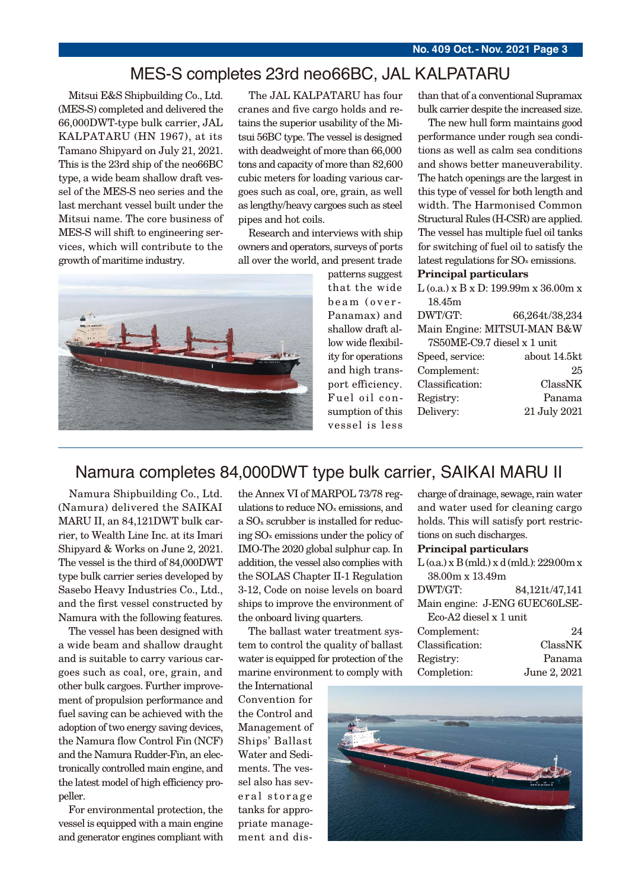#### MES-S completes 23rd neo66BC, JAL KALPATARU

Mitsui E&S Shipbuilding Co., Ltd. (MES-S) completed and delivered the 66,000DWT-type bulk carrier, JAL KALPATARU (HN 1967), at its Tamano Shipyard on July 21, 2021. This is the 23rd ship of the neo66BC type, a wide beam shallow draft vessel of the MES-S neo series and the last merchant vessel built under the Mitsui name. The core business of MES-S will shift to engineering services, which will contribute to the growth of maritime industry.

The JAL KALPATARU has four cranes and five cargo holds and retains the superior usability of the Mitsui 56BC type. The vessel is designed with deadweight of more than 66,000 tons and capacity of more than 82,600 cubic meters for loading various cargoes such as coal, ore, grain, as well as lengthy/heavy cargoes such as steel pipes and hot coils.

Research and interviews with ship owners and operators, surveys of ports all over the world, and present trade



patterns suggest that the wide beam (over-Panamax) and shallow draft allow wide flexibility for operations and high transport efficiency. Fuel oil consumption of this vessel is less

than that of a conventional Supramax bulk carrier despite the increased size.

The new hull form maintains good performance under rough sea conditions as well as calm sea conditions and shows better maneuverability. The hatch openings are the largest in this type of vessel for both length and width. The Harmonised Common Structural Rules (H-CSR) are applied. The vessel has multiple fuel oil tanks for switching of fuel oil to satisfy the latest regulations for SOx emissions.

#### **Principal particulars**

 $L$  (0.a.) x B x D: 199.99m x 36.00m x 18.45m DWT/GT: 66,264t/38,234 Main Engine: MITSUI-MAN B&W 7S50ME-C9.7 diesel x 1 unit Speed, service: about 14.5kt Complement: 25 Classification: ClassNK Registry: Panama Delivery: 21 July 2021

## Namura completes 84,000DWT type bulk carrier, SAIKAI MARU II

Namura Shipbuilding Co., Ltd. (Namura) delivered the SAIKAI MARU II, an 84,121DWT bulk carrier, to Wealth Line Inc. at its Imari Shipyard & Works on June 2, 2021. The vessel is the third of 84,000DWT type bulk carrier series developed by Sasebo Heavy Industries Co., Ltd., and the first vessel constructed by Namura with the following features.

The vessel has been designed with a wide beam and shallow draught and is suitable to carry various cargoes such as coal, ore, grain, and other bulk cargoes. Further improvement of propulsion performance and fuel saving can be achieved with the adoption of two energy saving devices, the Namura flow Control Fin (NCF) and the Namura Rudder-Fin, an electronically controlled main engine, and the latest model of high efficiency propeller.

For environmental protection, the vessel is equipped with a main engine and generator engines compliant with

the Annex VI of MARPOL 73/78 regulations to reduce NOx emissions, and a SOx scrubber is installed for reducing SOx emissions under the policy of IMO-The 2020 global sulphur cap. In addition, the vessel also complies with the SOLAS Chapter II-1 Regulation 3-12, Code on noise levels on board ships to improve the environment of the onboard living quarters.

The ballast water treatment system to control the quality of ballast water is equipped for protection of the marine environment to comply with

the International Convention for the Control and Management of Ships' Ballast Water and Sediments. The vessel also has several storage tanks for appropriate management and discharge of drainage, sewage, rain water and water used for cleaning cargo holds. This will satisfy port restrictions on such discharges.

#### **Principal particulars**

| $L$ (o.a.) x B (mld.) x d (mld.): 229.00m x |                |  |
|---------------------------------------------|----------------|--|
| 38.00m x 13.49m                             |                |  |
| DWT/GT:                                     | 84,121t/47,141 |  |
| Main engine: J-ENG 6UEC60LSE-               |                |  |
| Eco-A2 diesel x 1 unit                      |                |  |
| Complement:                                 | 9.4            |  |
|                                             |                |  |

| Classification: | ClassNK      |
|-----------------|--------------|
| Registry:       | Panama       |
| Completion:     | June 2, 2021 |

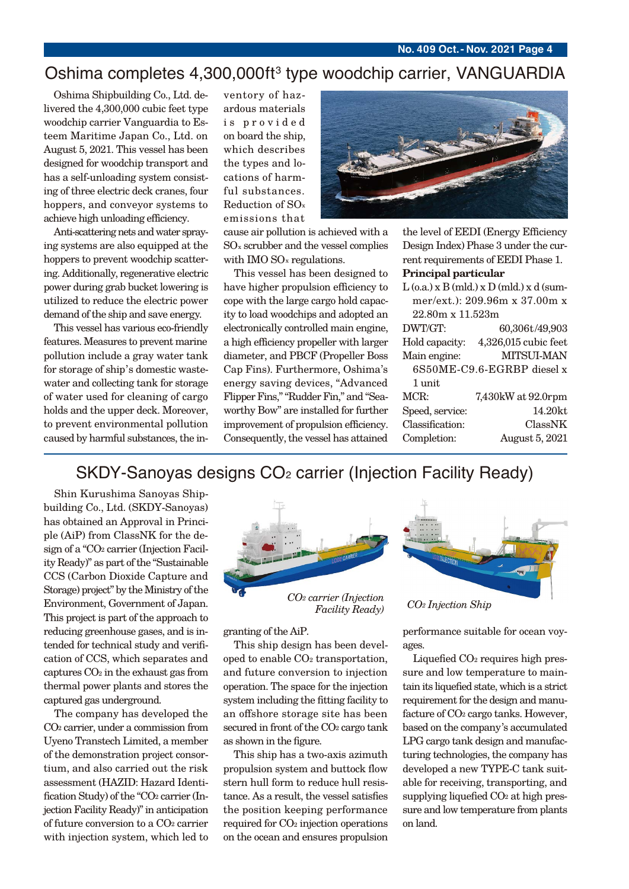## Oshima completes 4,300,000ft 3 type woodchip carrier, VANGUARDIA

Oshima Shipbuilding Co., Ltd. delivered the 4,300,000 cubic feet type woodchip carrier Vanguardia to Esteem Maritime Japan Co., Ltd. on August 5, 2021. This vessel has been designed for woodchip transport and has a self-unloading system consisting of three electric deck cranes, four hoppers, and conveyor systems to achieve high unloading efficiency.

Anti-scattering nets and water spraying systems are also equipped at the hoppers to prevent woodchip scattering. Additionally, regenerative electric power during grab bucket lowering is utilized to reduce the electric power demand of the ship and save energy.

This vessel has various eco-friendly features. Measures to prevent marine pollution include a gray water tank for storage of ship's domestic wastewater and collecting tank for storage of water used for cleaning of cargo holds and the upper deck. Moreover, to prevent environmental pollution caused by harmful substances, the in-

ventory of hazardous materials is provided on board the ship, which describes the types and locations of harmful substances. Reduction of SOx emissions that

cause air pollution is achieved with a SOx scrubber and the vessel complies with IMO SO<sub>x</sub> regulations.

This vessel has been designed to have higher propulsion efficiency to cope with the large cargo hold capacity to load woodchips and adopted an electronically controlled main engine, a high efficiency propeller with larger diameter, and PBCF (Propeller Boss Cap Fins). Furthermore, Oshima's energy saving devices, "Advanced Flipper Fins," "Rudder Fin," and "Seaworthy Bow" are installed for further improvement of propulsion efficiency. Consequently, the vessel has attained



the level of EEDI (Energy Efficiency Design Index) Phase 3 under the current requirements of EEDI Phase 1. **Principal particular**

 $L$  (o.a.)  $x B$  (mld.)  $x D$  (mld.)  $x d$  (summer/ext.): 209.96m x 37.00m x 22.80m x 11.523m

| DWT/GT:                    | 60,306t/49,903       |  |
|----------------------------|----------------------|--|
| Hold capacity:             | 4,326,015 cubic feet |  |
| Main engine:               | MITSUI-MAN           |  |
| 6S50ME-C9.6-EGRBP diesel x |                      |  |
| 1 unit                     |                      |  |
| MCR:                       | 7,430kW at 92.0rpm   |  |
| Speed, service:            | 14.20kt              |  |
| Classification:            | ClassNK              |  |
| Completion:                | August 5, 2021       |  |
|                            |                      |  |

## SKDY-Sanoyas designs CO<sub>2</sub> carrier (Injection Facility Ready)

Shin Kurushima Sanoyas Shipbuilding Co., Ltd. (SKDY-Sanoyas) has obtained an Approval in Principle (AiP) from ClassNK for the design of a "CO2 carrier (Injection Facility Ready)" as part of the "Sustainable CCS (Carbon Dioxide Capture and Storage) project" by the Ministry of the Environment, Government of Japan. This project is part of the approach to reducing greenhouse gases, and is intended for technical study and verification of CCS, which separates and captures CO2 in the exhaust gas from thermal power plants and stores the captured gas underground.

The company has developed the CO2 carrier, under a commission from Uyeno Transtech Limited, a member of the demonstration project consortium, and also carried out the risk assessment (HAZID: Hazard Identi fication Study) of the "CO<sub>2</sub> carrier (Injection Facility Ready)" in anticipation of future conversion to a CO2 carrier with injection system, which led to



granting of the AiP.

This ship design has been developed to enable CO2 transportation, and future conversion to injection operation. The space for the injection system including the fitting facility to an offshore storage site has been secured in front of the CO<sub>2</sub> cargo tank as shown in the figure.

This ship has a two-axis azimuth propulsion system and buttock flow stern hull form to reduce hull resistance. As a result, the vessel satisfies the position keeping performance required for CO2 injection operations on the ocean and ensures propulsion



performance suitable for ocean voyages.

Liquefied  $CO<sub>2</sub>$  requires high pressure and low temperature to maintain its liquefied state, which is a strict requirement for the design and manufacture of CO<sub>2</sub> cargo tanks. However, based on the company's accumulated LPG cargo tank design and manufacturing technologies, the company has developed a new TYPE-C tank suitable for receiving, transporting, and supplying liquefied  $CO<sub>2</sub>$  at high pressure and low temperature from plants on land.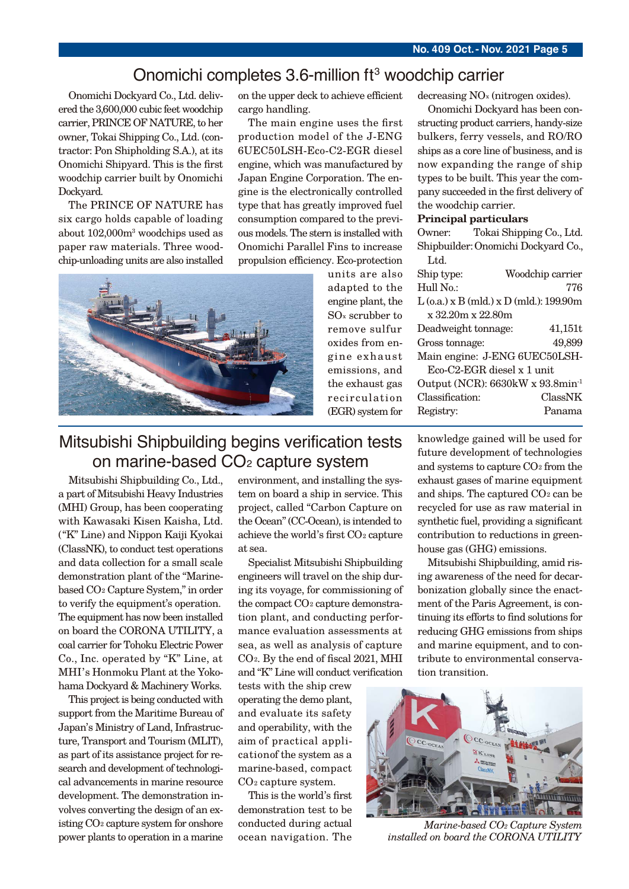## Onomichi completes 3.6-million ft<sup>3</sup> woodchip carrier

Onomichi Dockyard Co., Ltd. delivered the 3,600,000 cubic feet woodchip carrier, PRINCE OF NATURE, to her owner, Tokai Shipping Co., Ltd. (contractor: Pon Shipholding S.A.), at its Onomichi Shipyard. This is the first woodchip carrier built by Onomichi Dockyard.

The PRINCE OF NATURE has six cargo holds capable of loading about 102,000m3 woodchips used as paper raw materials. Three woodchip-unloading units are also installed



The main engine uses the first production model of the J-ENG 6UEC50LSH-Eco-C2-EGR diesel engine, which was manufactured by Japan Engine Corporation. The engine is the electronically controlled type that has greatly improved fuel consumption compared to the previous models. The stern is installed with Onomichi Parallel Fins to increase propulsion efficiency. Eco-protection

units are also adapted to the engine plant, the SOx scrubber to remove sulfur oxides from engine exhaust emissions, and the exhaust gas recirculation (EGR) system for decreasing NOx (nitrogen oxides).

Onomichi Dockyard has been constructing product carriers, handy-size bulkers, ferry vessels, and RO/RO ships as a core line of business, and is now expanding the range of ship types to be built. This year the company succeeded in the first delivery of the woodchip carrier.

#### **Principal particulars**

Owner: Tokai Shipping Co., Ltd. Shipbuilder:Onomichi Dockyard Co., Ltd.

| Ship type:                                   | Woodchip carrier                          |  |
|----------------------------------------------|-------------------------------------------|--|
| Hull No.:                                    | 776                                       |  |
|                                              | $L$ (o.a.) x B (mld.) x D (mld.): 199.90m |  |
| x 32.20m x 22.80m                            |                                           |  |
| Deadweight tonnage:                          | 41,151t                                   |  |
| Gross tonnage:                               | 49,899                                    |  |
| Main engine: J-ENG 6UEC50LSH-                |                                           |  |
| $Eco-C2-EGR$ diesel x 1 unit                 |                                           |  |
| Output (NCR): 6630kW x 93.8min <sup>-1</sup> |                                           |  |
| Classification:                              | ClassNK                                   |  |
| Registry:                                    | Panama                                    |  |

## Mitsubishi Shipbuilding begins verification tests on marine-based CO<sub>2</sub> capture system

Mitsubishi Shipbuilding Co., Ltd., a part of Mitsubishi Heavy Industries (MHI) Group, has been cooperating with Kawasaki Kisen Kaisha, Ltd. ("K" Line) and Nippon Kaiji Kyokai (ClassNK), to conduct test operations and data collection for a small scale demonstration plant of the "Marinebased CO2 Capture System," in order to verify the equipment's operation. The equipment has now been installed on board the CORONA UTILITY, a coal carrier for Tohoku Electric Power Co., Inc. operated by "K" Line, at MHI's Honmoku Plant at the Yokohama Dockyard & Machinery Works.

This project is being conducted with support from the Maritime Bureau of Japan's Ministry of Land, Infrastructure, Transport and Tourism (MLIT), as part of its assistance project for research and development of technological advancements in marine resource development. The demonstration involves converting the design of an existing CO2 capture system for onshore power plants to operation in a marine

environment, and installing the system on board a ship in service. This project, called "Carbon Capture on the Ocean" (CC-Ocean), is intended to achieve the world's first CO<sub>2</sub> capture at sea.

Specialist Mitsubishi Shipbuilding engineers will travel on the ship during its voyage, for commissioning of the compact CO<sub>2</sub> capture demonstration plant, and conducting performance evaluation assessments at sea, as well as analysis of capture CO<sub>2</sub>. By the end of fiscal 2021, MHI and "K" Line will conduct verification

tests with the ship crew operating the demo plant, and evaluate its safety and operability, with the aim of practical applicationof the system as a marine-based, compact CO2 capture system.

This is the world's first demonstration test to be conducted during actual ocean navigation. The knowledge gained will be used for future development of technologies and systems to capture CO2 from the exhaust gases of marine equipment and ships. The captured CO2 can be recycled for use as raw material in synthetic fuel, providing a significant contribution to reductions in greenhouse gas (GHG) emissions.

Mitsubishi Shipbuilding, amid rising awareness of the need for decarbonization globally since the enactment of the Paris Agreement, is continuing its efforts to find solutions for reducing GHG emissions from ships and marine equipment, and to contribute to environmental conservation transition.



*Marine-based CO2 Capture System installed on board the CORONA UTILITY*